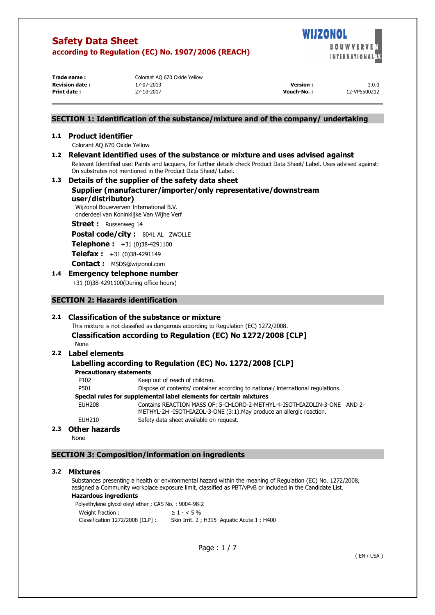

**Trade name :** Colorant AQ 670 Oxide Yellow

| <b>Revision date:</b> | 17-07-2013 | <b>Version:</b> | 1.0.0        |
|-----------------------|------------|-----------------|--------------|
| Print date:           | 27-10-2017 | Vouch-No.:      | 12-VP5500212 |

## **SECTION 1: Identification of the substance/mixture and of the company/ undertaking**

#### **1.1 Product identifier**

Colorant AQ 670 Oxide Yellow

**1.2 Relevant identified uses of the substance or mixture and uses advised against**  Relevant Identified use: Paints and lacquers, for further details check Product Data Sheet/ Label. Uses advised against: On substrates not mentioned in the Product Data Sheet/ Label.

## **1.3 Details of the supplier of the safety data sheet Supplier (manufacturer/importer/only representative/downstream user/distributor)**

Wijzonol Bouwverven International B.V. onderdeel van Koninklijke Van Wijhe Verf

#### **Street :** Russenweg 14

**Postal code/city :** 8041 AL ZWOLLE

**Telephone :** +31 (0)38-4291100

**Telefax :** +31 (0)38-4291149

**Contact :** MSDS@wijzonol.com

## **1.4 Emergency telephone number**

+31 (0)38-4291100(During office hours)

## **SECTION 2: Hazards identification**

## **2.1 Classification of the substance or mixture**

This mixture is not classified as dangerous according to Regulation (EC) 1272/2008. **Classification according to Regulation (EC) No 1272/2008 [CLP]**  None

## **2.2 Label elements**

## **Labelling according to Regulation (EC) No. 1272/2008 [CLP]**

**Precautionary statements** 

P102 Keep out of reach of children.

P501 Dispose of contents/ container according to national/ international regulations.

## **Special rules for supplemental label elements for certain mixtures**

EUH208 Contains REACTION MASS OF: 5-CHLORO-2-METHYL-4-ISOTHIAZOLIN-3-ONE AND 2- METHYL-2H -ISOTHIAZOL-3-ONE (3:1).May produce an allergic reaction. EUH210 Safety data sheet available on request.

## **2.3 Other hazards**

None

## **SECTION 3: Composition/information on ingredients**

#### **3.2 Mixtures**

Substances presenting a health or environmental hazard within the meaning of Regulation (EC) No. 1272/2008, assigned a Community workplace exposure limit, classified as PBT/vPvB or included in the Candidate List.

### **Hazardous ingredients**

Polyethylene glycol oleyl ether ; CAS No. : 9004-98-2 Weight fraction :  $\geq 1 - 5\%$ Classification 1272/2008 [CLP] : Skin Irrit. 2 ; H315 Aquatic Acute 1 ; H400

Page : 1 / 7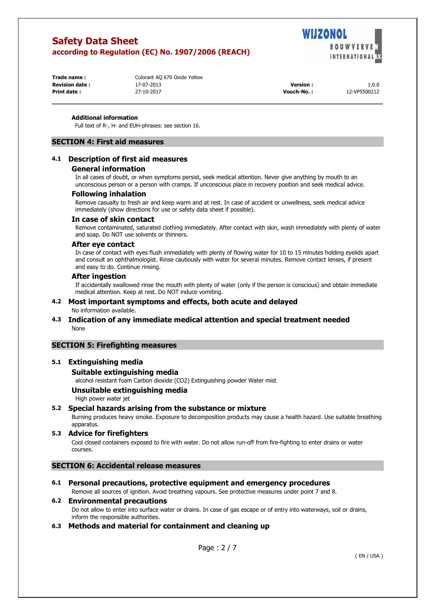WIJZONOL **BOUWVER INTERNATIONAL W** 

**Trade name : Colorant AQ 670 Oxide Yellow Revision date :** 17-07-2013 **Version :** 1.0.0

| <b>Revision date :</b> | 17-07-2013 | Version           | 1.0.0        |
|------------------------|------------|-------------------|--------------|
| <b>Print date :</b>    | 27-10-2017 | <b>Vouch-No.:</b> | 12-VP5500212 |

#### **Additional information**

Full text of R-, H- and EUH-phrases: see section 16.

### **SECTION 4: First aid measures**

## **4.1 Description of first aid measures**

#### **General information**

In all cases of doubt, or when symptoms persist, seek medical attention. Never give anything by mouth to an unconscious person or a person with cramps. If unconscious place in recovery position and seek medical advice.

#### **Following inhalation**

Remove casualty to fresh air and keep warm and at rest. In case of accident or unwellness, seek medical advice immediately (show directions for use or safety data sheet if possible).

#### **In case of skin contact**

Remove contaminated, saturated clothing immediately. After contact with skin, wash immediately with plenty of water and soap. Do NOT use solvents or thinners.

#### **After eye contact**

In case of contact with eyes flush immediately with plenty of flowing water for 10 to 15 minutes holding eyelids apart and consult an ophthalmologist. Rinse cautiously with water for several minutes. Remove contact lenses, if present and easy to do. Continue rinsing.

#### **After ingestion**

If accidentally swallowed rinse the mouth with plenty of water (only if the person is conscious) and obtain immediate medical attention. Keep at rest. Do NOT induce vomiting.

#### **4.2 Most important symptoms and effects, both acute and delayed**  No information available.

## **4.3 Indication of any immediate medical attention and special treatment needed**  None

## **SECTION 5: Firefighting measures**

## **5.1 Extinguishing media**

### **Suitable extinguishing media**

alcohol resistant foam Carbon dioxide (CO2) Extinguishing powder Water mist

#### **Unsuitable extinguishing media**

High power water jet

## **5.2 Special hazards arising from the substance or mixture**

Burning produces heavy smoke. Exposure to decomposition products may cause a health hazard. Use suitable breathing apparatus.

#### **5.3 Advice for firefighters**

Cool closed containers exposed to fire with water. Do not allow run-off from fire-fighting to enter drains or water courses.

#### **SECTION 6: Accidental release measures**

## **6.1 Personal precautions, protective equipment and emergency procedures**

Remove all sources of ignition. Avoid breathing vapours. See protective measures under point 7 and 8.

## **6.2 Environmental precautions**

Do not allow to enter into surface water or drains. In case of gas escape or of entry into waterways, soil or drains, inform the responsible authorities.

## **6.3 Methods and material for containment and cleaning up**

Page : 2 / 7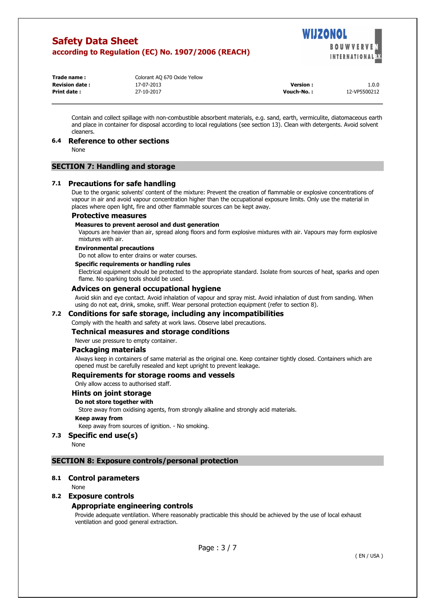

| Trade name:           | Colorant AQ 670 Oxide Yellow |                 |              |
|-----------------------|------------------------------|-----------------|--------------|
| <b>Revision date:</b> | 17-07-2013                   | <b>Version:</b> | 1.0.0        |
| Print date:           | 27-10-2017                   | Vouch-No.:      | 12-VP5500212 |

Contain and collect spillage with non-combustible absorbent materials, e.g. sand, earth, vermiculite, diatomaceous earth and place in container for disposal according to local regulations (see section 13). Clean with detergents. Avoid solvent cleaners.

#### **6.4 Reference to other sections**

None

### **SECTION 7: Handling and storage**

#### **7.1 Precautions for safe handling**

Due to the organic solvents' content of the mixture: Prevent the creation of flammable or explosive concentrations of vapour in air and avoid vapour concentration higher than the occupational exposure limits. Only use the material in places where open light, fire and other flammable sources can be kept away.

#### **Protective measures**

#### **Measures to prevent aerosol and dust generation**

Vapours are heavier than air, spread along floors and form explosive mixtures with air. Vapours may form explosive mixtures with air.

#### **Environmental precautions**

Do not allow to enter drains or water courses.

#### **Specific requirements or handling rules**

Electrical equipment should be protected to the appropriate standard. Isolate from sources of heat, sparks and open flame. No sparking tools should be used.

#### **Advices on general occupational hygiene**

Avoid skin and eye contact. Avoid inhalation of vapour and spray mist. Avoid inhalation of dust from sanding. When using do not eat, drink, smoke, sniff. Wear personal protection equipment (refer to section 8).

#### **7.2 Conditions for safe storage, including any incompatibilities**

Comply with the health and safety at work laws. Observe label precautions.

## **Technical measures and storage conditions**

Never use pressure to empty container.

#### **Packaging materials**

Always keep in containers of same material as the original one. Keep container tightly closed. Containers which are opened must be carefully resealed and kept upright to prevent leakage.

#### **Requirements for storage rooms and vessels**

Only allow access to authorised staff.

### **Hints on joint storage**

#### **Do not store together with**

Store away from oxidising agents, from strongly alkaline and strongly acid materials.

#### **Keep away from**

Keep away from sources of ignition. - No smoking.

## **7.3 Specific end use(s)**

None

#### **SECTION 8: Exposure controls/personal protection**

#### **8.1 Control parameters**

**None** 

#### **8.2 Exposure controls**

#### **Appropriate engineering controls**

Provide adequate ventilation. Where reasonably practicable this should be achieved by the use of local exhaust ventilation and good general extraction.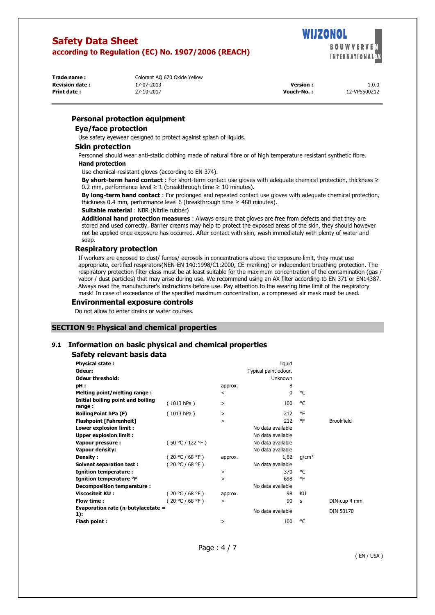

**Trade name :** Colorant AQ 670 Oxide Yellow

**Revision date :** 17-07-2013 **Version :** 1.0.0 **Print date :** 27-10-2017 **Vouch-No. :** 12-VP5500212

## **Personal protection equipment**

## **Eye/face protection**

Use safety eyewear designed to protect against splash of liquids.

#### **Skin protection**

Personnel should wear anti-static clothing made of natural fibre or of high temperature resistant synthetic fibre. **Hand protection** 

## Use chemical-resistant gloves (according to EN 374).

**By short-term hand contact** : For short-term contact use gloves with adequate chemical protection, thickness ≥ 0.2 mm, performance level  $\geq 1$  (breakthrough time  $\geq 10$  minutes).

**By long-term hand contact** : For prolonged and repeated contact use gloves with adequate chemical protection, thickness 0.4 mm, performance level 6 (breakthrough time ≥ 480 minutes).

#### **Suitable material** : NBR (Nitrile rubber)

**Additional hand protection measures** : Always ensure that gloves are free from defects and that they are stored and used correctly. Barrier creams may help to protect the exposed areas of the skin, they should however not be applied once exposure has occurred. After contact with skin, wash immediately with plenty of water and soap.

## **Respiratory protection**

If workers are exposed to dust/ fumes/ aerosols in concentrations above the exposure limit, they must use appropriate, certified respirators(NEN-EN 140:1998/C1:2000, CE-marking) or independent breathing protection. The respiratory protection filter class must be at least suitable for the maximum concentration of the contamination (gas / vapor / dust particles) that may arise during use. We recommend using an AX filter according to EN 371 or EN14387. Always read the manufacturer's instructions before use. Pay attention to the wearing time limit of the respiratory mask! In case of exceedance of the specified maximum concentration, a compressed air mask must be used.

#### **Environmental exposure controls**

Do not allow to enter drains or water courses.

## **SECTION 9: Physical and chemical properties**

## **9.1 Information on basic physical and chemical properties**

#### **Safety relevant basis data**

| <b>Physical state:</b>                      |                      |           | liquid            |                   |                   |
|---------------------------------------------|----------------------|-----------|-------------------|-------------------|-------------------|
| Odeur:                                      | Typical paint odour. |           |                   |                   |                   |
| <b>Odeur threshold:</b>                     |                      |           | <b>Unknown</b>    |                   |                   |
| pH:                                         |                      | approx.   | 8                 |                   |                   |
| Melting point/melting range:                |                      | $\,<\,$   | 0                 | ۰C                |                   |
| Initial boiling point and boiling<br>range: | (1013 hPa)           | $\, > \,$ | 100               | ۰C                |                   |
| <b>BoilingPoint hPa (F)</b>                 | (1013 hPa)           | $\, > \,$ | 212               | ٥F                |                   |
| <b>Flashpoint [Fahrenheit]</b>              |                      | >         | 212               | ٥F                | <b>Brookfield</b> |
| Lower explosion limit :                     |                      |           | No data available |                   |                   |
| <b>Upper explosion limit:</b>               |                      |           | No data available |                   |                   |
| Vapour pressure :                           | (50 °C / 122 °F)     |           | No data available |                   |                   |
| <b>Vapour density:</b>                      |                      |           | No data available |                   |                   |
| Density:                                    | (20 °C / 68 °F)      | approx.   | 1,62              | q/cm <sup>3</sup> |                   |
| Solvent separation test:                    | (20 °C / 68 °F)      |           | No data available |                   |                   |
| <b>Ignition temperature:</b>                |                      | $\, > \,$ | 370               | ۰C                |                   |
| Ignition temperature °F                     |                      | >         | 698               | ٥F                |                   |
| <b>Decomposition temperature:</b>           |                      |           | No data available |                   |                   |
| <b>Viscositeit KU:</b>                      | (20 °C / 68 °F)      | approx.   | 98                | KU                |                   |
| Flow time:                                  | (20 °C / 68 °F)      | $\geq$    | 90                | s                 | DIN-cup 4 mm      |
| Evaporation rate (n-butylacetate =<br>1):   |                      |           | No data available |                   | DIN 53170         |
| Flash point:                                |                      | $\, > \,$ | 100               | °C                |                   |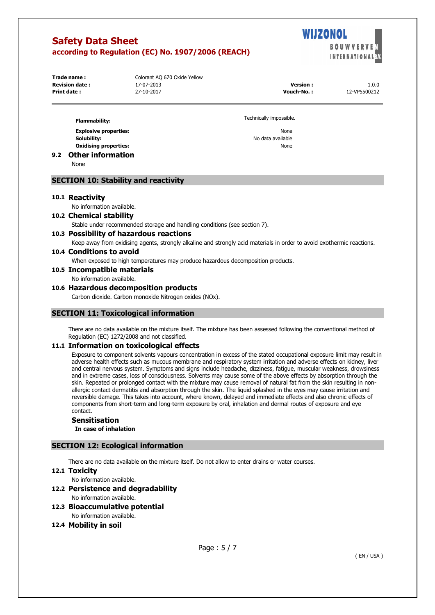

**Trade name :** Colorant AQ 670 Oxide Yellow **Revision date :** 17-07-2013 **Version :** 1.0.0

| <b>Revision date :</b> | 17-07-2013 | Version     | 1.0.0        |
|------------------------|------------|-------------|--------------|
| <b>Print date :</b>    | 27-10-2017 | Vouch-No. : | 12-VP5500212 |

| <b>Flammability:</b>         | Technically impossible. |
|------------------------------|-------------------------|
| <b>Explosive properties:</b> | None                    |
| Solubility:                  | No data available       |
| <b>Oxidising properties:</b> | None                    |
| 9.2 Other information        |                         |

None

## **SECTION 10: Stability and reactivity**

#### **10.1 Reactivity**

No information available.

#### **10.2 Chemical stability**

Stable under recommended storage and handling conditions (see section 7).

#### **10.3 Possibility of hazardous reactions**

Keep away from oxidising agents, strongly alkaline and strongly acid materials in order to avoid exothermic reactions.

## **10.4 Conditions to avoid**

When exposed to high temperatures may produce hazardous decomposition products.

#### **10.5 Incompatible materials**

No information available.

#### **10.6 Hazardous decomposition products**

Carbon dioxide. Carbon monoxide Nitrogen oxides (NOx).

#### **SECTION 11: Toxicological information**

There are no data available on the mixture itself. The mixture has been assessed following the conventional method of Regulation (EC) 1272/2008 and not classified.

#### **11.1 Information on toxicological effects**

Exposure to component solvents vapours concentration in excess of the stated occupational exposure limit may result in adverse health effects such as mucous membrane and respiratory system irritation and adverse effects on kidney, liver and central nervous system. Symptoms and signs include headache, dizziness, fatigue, muscular weakness, drowsiness and in extreme cases, loss of consciousness. Solvents may cause some of the above effects by absorption through the skin. Repeated or prolonged contact with the mixture may cause removal of natural fat from the skin resulting in nonallergic contact dermatitis and absorption through the skin. The liquid splashed in the eyes may cause irritation and reversible damage. This takes into account, where known, delayed and immediate effects and also chronic effects of components from short-term and long-term exposure by oral, inhalation and dermal routes of exposure and eye contact.

# **Sensitisation**

**In case of inhalation** 

## **SECTION 12: Ecological information**

There are no data available on the mixture itself. Do not allow to enter drains or water courses.

#### **12.1 Toxicity**

No information available.

## **12.2 Persistence and degradability**

No information available.

## **12.3 Bioaccumulative potential**

No information available.

#### **12.4 Mobility in soil**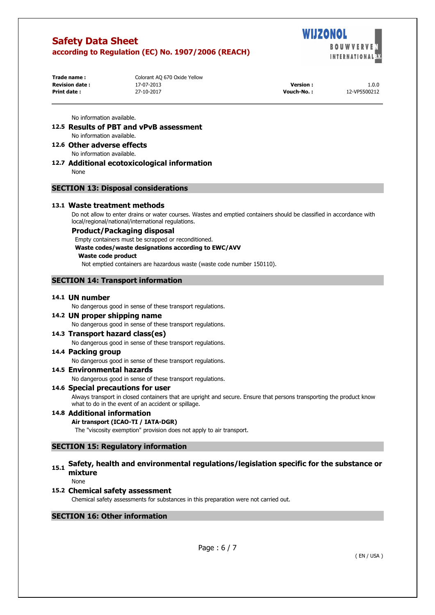WIJZONOL **BOUWVE INTERNATIONAL** 

**Trade name :** Colorant AQ 670 Oxide Yellow

**Revision date :** 17-07-2013 **Version :** 1.0.0 **Print date :** 27-10-2017 **Vouch-No. :** 12-VP5500212

No information available.

- **12.5 Results of PBT and vPvB assessment**  No information available.
- **12.6 Other adverse effects**  No information available.
- **12.7 Additional ecotoxicological information**  None

## **SECTION 13: Disposal considerations**

## **13.1 Waste treatment methods**

Do not allow to enter drains or water courses. Wastes and emptied containers should be classified in accordance with local/regional/national/international regulations.

#### **Product/Packaging disposal**

Empty containers must be scrapped or reconditioned. **Waste codes/waste designations according to EWC/AVV Waste code product**  Not emptied containers are hazardous waste (waste code number 150110).

## **SECTION 14: Transport information**

#### **14.1 UN number**

No dangerous good in sense of these transport regulations.

## **14.2 UN proper shipping name**

No dangerous good in sense of these transport regulations.

## **14.3 Transport hazard class(es)**

No dangerous good in sense of these transport regulations.

#### **14.4 Packing group**

No dangerous good in sense of these transport regulations.

## **14.5 Environmental hazards**

No dangerous good in sense of these transport regulations.

## **14.6 Special precautions for user**

Always transport in closed containers that are upright and secure. Ensure that persons transporting the product know what to do in the event of an accident or spillage.

## **14.8 Additional information**

## **Air transport (ICAO-TI / IATA-DGR)**

The "viscosity exemption" provision does not apply to air transport.

## **SECTION 15: Regulatory information**

# **15.1 Safety, health and environmental regulations/legislation specific for the substance or mixture**

None

## **15.2 Chemical safety assessment**

Chemical safety assessments for substances in this preparation were not carried out.

## **SECTION 16: Other information**